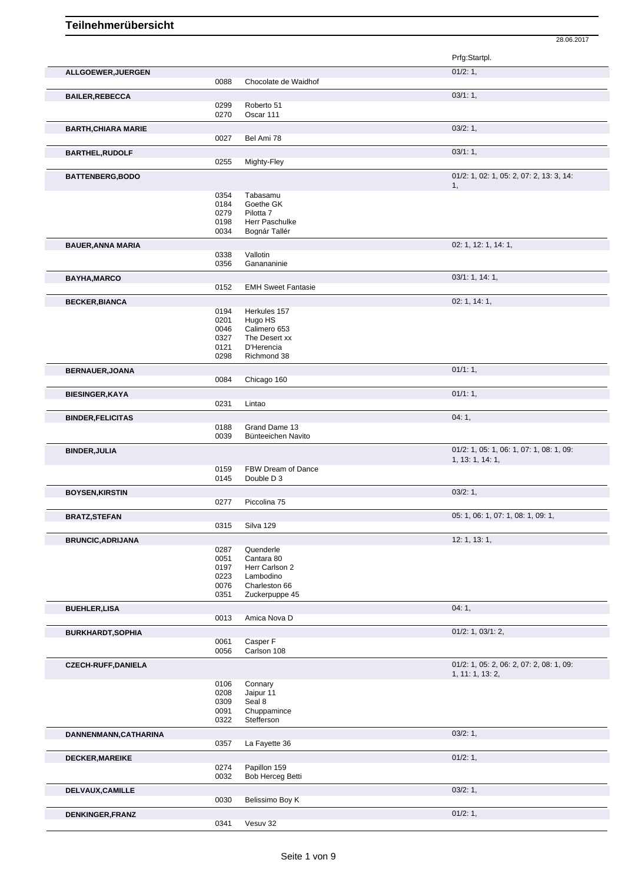|                            |              |                                  | Prfg:Startpl.                            |
|----------------------------|--------------|----------------------------------|------------------------------------------|
| ALLGOEWER, JUERGEN         |              |                                  | 01/2:1,                                  |
|                            | 0088         | Chocolate de Waidhof             |                                          |
| <b>BAILER, REBECCA</b>     |              |                                  | 03/1:1,                                  |
|                            | 0299<br>0270 | Roberto 51<br>Oscar 111          |                                          |
|                            |              |                                  |                                          |
| <b>BARTH, CHIARA MARIE</b> | 0027         | Bel Ami 78                       | 03/2:1,                                  |
|                            |              |                                  | 03/1:1,                                  |
| <b>BARTHEL, RUDOLF</b>     | 0255         | Mighty-Fley                      |                                          |
| <b>BATTENBERG, BODO</b>    |              |                                  | 01/2: 1, 02: 1, 05: 2, 07: 2, 13: 3, 14: |
|                            |              |                                  | 1,                                       |
|                            | 0354<br>0184 | Tabasamu<br>Goethe GK            |                                          |
|                            | 0279         | Pilotta 7                        |                                          |
|                            | 0198         | Herr Paschulke                   |                                          |
|                            | 0034         | Bognár Tallér                    |                                          |
| <b>BAUER, ANNA MARIA</b>   | 0338         | Vallotin                         | 02: 1, 12: 1, 14: 1,                     |
|                            | 0356         | Ganananinie                      |                                          |
| <b>BAYHA, MARCO</b>        |              |                                  | 03/1: 1, 14: 1,                          |
|                            | 0152         | <b>EMH Sweet Fantasie</b>        |                                          |
| <b>BECKER, BIANCA</b>      |              |                                  | 02: 1, 14: 1,                            |
|                            | 0194         | Herkules 157                     |                                          |
|                            | 0201<br>0046 | Hugo HS<br>Calimero 653          |                                          |
|                            | 0327         | The Desert xx                    |                                          |
|                            | 0121         | D'Herencia                       |                                          |
|                            | 0298         | Richmond 38                      |                                          |
| <b>BERNAUER, JOANA</b>     |              |                                  | 01/1:1,                                  |
|                            | 0084         | Chicago 160                      |                                          |
| <b>BIESINGER, KAYA</b>     | 0231         | Lintao                           | 01/1:1,                                  |
|                            |              |                                  |                                          |
| <b>BINDER, FELICITAS</b>   | 0188         | Grand Dame 13                    | 04:1,                                    |
|                            | 0039         | Bünteeichen Navito               |                                          |
| <b>BINDER, JULIA</b>       |              |                                  | 01/2: 1, 05: 1, 06: 1, 07: 1, 08: 1, 09: |
|                            |              |                                  | 1, 13: 1, 14: 1,                         |
|                            | 0159<br>0145 | FBW Dream of Dance<br>Double D 3 |                                          |
|                            |              |                                  |                                          |
| <b>BOYSEN, KIRSTIN</b>     | 0277         | Piccolina 75                     | 03/2:1,                                  |
| <b>BRATZ, STEFAN</b>       |              |                                  | 05: 1, 06: 1, 07: 1, 08: 1, 09: 1,       |
|                            | 0315         | Silva 129                        |                                          |
| <b>BRUNCIC, ADRIJANA</b>   |              |                                  | 12: 1, 13: 1,                            |
|                            | 0287         | Quenderle                        |                                          |
|                            | 0051         | Cantara 80                       |                                          |
|                            | 0197<br>0223 | Herr Carlson 2<br>Lambodino      |                                          |
|                            | 0076         | Charleston 66                    |                                          |
|                            | 0351         | Zuckerpuppe 45                   |                                          |
| <b>BUEHLER,LISA</b>        |              |                                  | 04:1,                                    |
|                            | 0013         | Amica Nova D                     |                                          |
| <b>BURKHARDT, SOPHIA</b>   |              | Casper F                         | $01/2$ : 1, $03/1$ : 2,                  |
|                            | 0061<br>0056 | Carlson 108                      |                                          |
| <b>CZECH-RUFF, DANIELA</b> |              |                                  | 01/2: 1, 05: 2, 06: 2, 07: 2, 08: 1, 09: |
|                            |              |                                  | 1, 11: 1, 13: 2,                         |
|                            | 0106         | Connary                          |                                          |
|                            | 0208<br>0309 | Jaipur 11<br>Seal 8              |                                          |
|                            | 0091         | Chuppamince                      |                                          |
|                            | 0322         | Stefferson                       |                                          |
| DANNENMANN, CATHARINA      |              |                                  | 03/2:1,                                  |
|                            | 0357         | La Fayette 36                    |                                          |
| DECKER, MAREIKE            |              |                                  | 01/2: 1,                                 |
|                            | 0274<br>0032 | Papillon 159<br>Bob Herceg Betti |                                          |
|                            |              |                                  | 03/2:1,                                  |
| DELVAUX, CAMILLE           | 0030         | Belissimo Boy K                  |                                          |
| <b>DENKINGER, FRANZ</b>    |              |                                  | 01/2:1,                                  |
|                            | 0341         | Vesuv 32                         |                                          |
|                            |              |                                  |                                          |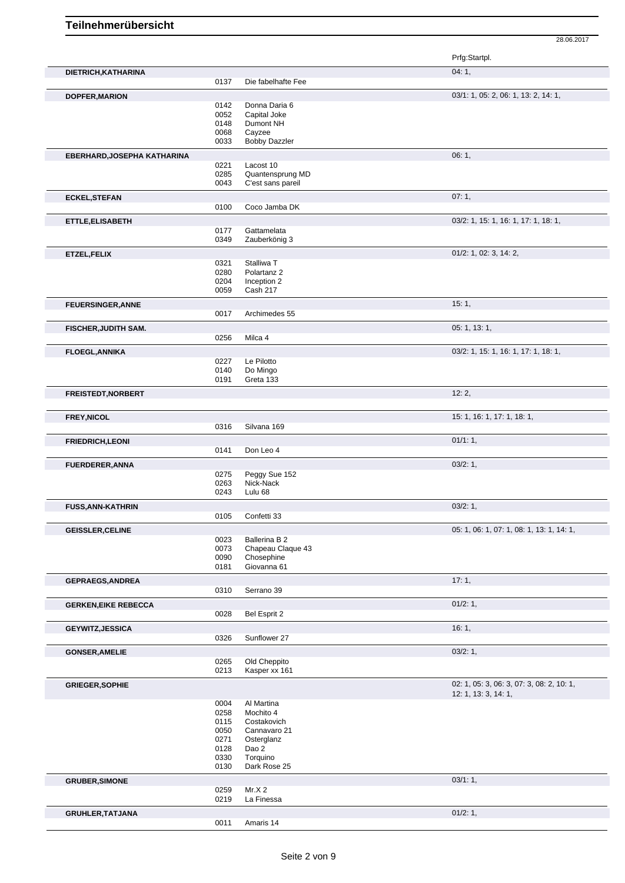|                                                  |              |                                | Prfg:Startpl.                             |
|--------------------------------------------------|--------------|--------------------------------|-------------------------------------------|
| DIETRICH, KATHARINA                              |              | Die fabelhafte Fee             | 04:1,                                     |
|                                                  | 0137         |                                |                                           |
| <b>DOPFER, MARION</b>                            |              |                                | 03/1: 1, 05: 2, 06: 1, 13: 2, 14: 1,      |
|                                                  | 0142         | Donna Daria 6                  |                                           |
|                                                  | 0052         | Capital Joke                   |                                           |
|                                                  | 0148         | Dumont NH                      |                                           |
|                                                  | 0068<br>0033 | Cayzee<br><b>Bobby Dazzler</b> |                                           |
|                                                  |              |                                |                                           |
| EBERHARD, JOSEPHA KATHARINA                      |              |                                | 06:1,                                     |
|                                                  | 0221         | Lacost 10                      |                                           |
|                                                  | 0285         | Quantensprung MD               |                                           |
|                                                  | 0043         | C'est sans pareil              |                                           |
| <b>ECKEL, STEFAN</b>                             |              |                                | 07:1,                                     |
|                                                  | 0100         | Coco Jamba DK                  |                                           |
| ETTLE, ELISABETH                                 |              |                                | 03/2: 1, 15: 1, 16: 1, 17: 1, 18: 1,      |
|                                                  | 0177         | Gattamelata                    |                                           |
|                                                  | 0349         | Zauberkönig 3                  |                                           |
|                                                  |              |                                | 01/2: 1, 02: 3, 14: 2,                    |
| ETZEL, FELIX                                     | 0321         | Stalliwa T                     |                                           |
|                                                  | 0280         | Polartanz 2                    |                                           |
|                                                  | 0204         | Inception 2                    |                                           |
|                                                  | 0059         | Cash 217                       |                                           |
|                                                  |              |                                | 15:1,                                     |
| <b>FEUERSINGER, ANNE</b>                         | 0017         | Archimedes 55                  |                                           |
|                                                  |              |                                |                                           |
| <b>FISCHER, JUDITH SAM.</b>                      |              |                                | 05: 1, 13: 1,                             |
|                                                  | 0256         | Milca 4                        |                                           |
| <b>FLOEGL, ANNIKA</b>                            |              |                                | 03/2: 1, 15: 1, 16: 1, 17: 1, 18: 1,      |
|                                                  | 0227         | Le Pilotto                     |                                           |
|                                                  | 0140         | Do Mingo                       |                                           |
|                                                  | 0191         | Greta 133                      |                                           |
| FREISTEDT, NORBERT                               |              |                                | 12:2,                                     |
|                                                  |              |                                |                                           |
|                                                  |              |                                |                                           |
| <b>FREY, NICOL</b>                               |              |                                | 15: 1, 16: 1, 17: 1, 18: 1,               |
|                                                  | 0316         | Silvana 169                    |                                           |
| <b>FRIEDRICH, LEONI</b>                          |              |                                | 01/1:1,                                   |
|                                                  | 0141         | Don Leo 4                      |                                           |
| <b>FUERDERER, ANNA</b>                           |              |                                | 03/2:1,                                   |
|                                                  | 0275         | Peggy Sue 152                  |                                           |
|                                                  | 0263         | Nick-Nack                      |                                           |
|                                                  | 0243         | Lulu 68                        |                                           |
| <b>FUSS, ANN-KATHRIN</b>                         |              |                                | 03/2:1,                                   |
|                                                  | 0105         | Confetti 33                    |                                           |
|                                                  |              |                                | 05: 1, 06: 1, 07: 1, 08: 1, 13: 1, 14: 1, |
| <b>GEISSLER, CELINE</b>                          | 0023         | Ballerina B 2                  |                                           |
|                                                  | 0073         | Chapeau Claque 43              |                                           |
|                                                  | 0090         | Chosephine                     |                                           |
|                                                  | 0181         | Giovanna 61                    |                                           |
|                                                  |              |                                |                                           |
| <b>GEPRAEGS, ANDREA</b>                          |              |                                | 17:1,                                     |
|                                                  | 0310         | Serrano 39                     |                                           |
| <b>GERKEN, EIKE REBECCA</b>                      |              |                                | 01/2:1,                                   |
|                                                  | 0028         | Bel Esprit 2                   |                                           |
| <b>GEYWITZ, JESSICA</b>                          |              |                                | 16:1,                                     |
|                                                  | 0326         | Sunflower 27                   |                                           |
|                                                  |              |                                |                                           |
| <b>GONSER, AMELIE</b>                            |              | Old Cheppito                   | 03/2:1,                                   |
|                                                  | 0265<br>0213 | Kasper xx 161                  |                                           |
|                                                  |              |                                |                                           |
| <b>GRIEGER, SOPHIE</b>                           |              |                                | 02: 1, 05: 3, 06: 3, 07: 3, 08: 2, 10: 1, |
|                                                  |              |                                | 12: 1, 13: 3, 14: 1,                      |
|                                                  | 0004         | Al Martina                     |                                           |
|                                                  | 0258         | Mochito 4                      |                                           |
|                                                  | 0115         | Costakovich                    |                                           |
|                                                  | 0050<br>0271 | Cannavaro 21<br>Osterglanz     |                                           |
|                                                  |              | Dao 2                          |                                           |
|                                                  |              |                                |                                           |
|                                                  | 0128         |                                |                                           |
|                                                  | 0330         | Torquino                       |                                           |
|                                                  | 0130         | Dark Rose 25                   |                                           |
|                                                  |              |                                | 03/1:1,                                   |
|                                                  | 0259         | Mr.X 2                         |                                           |
|                                                  | 0219         | La Finessa                     |                                           |
| <b>GRUBER, SIMONE</b><br><b>GRUHLER, TATJANA</b> |              |                                | 01/2:1,                                   |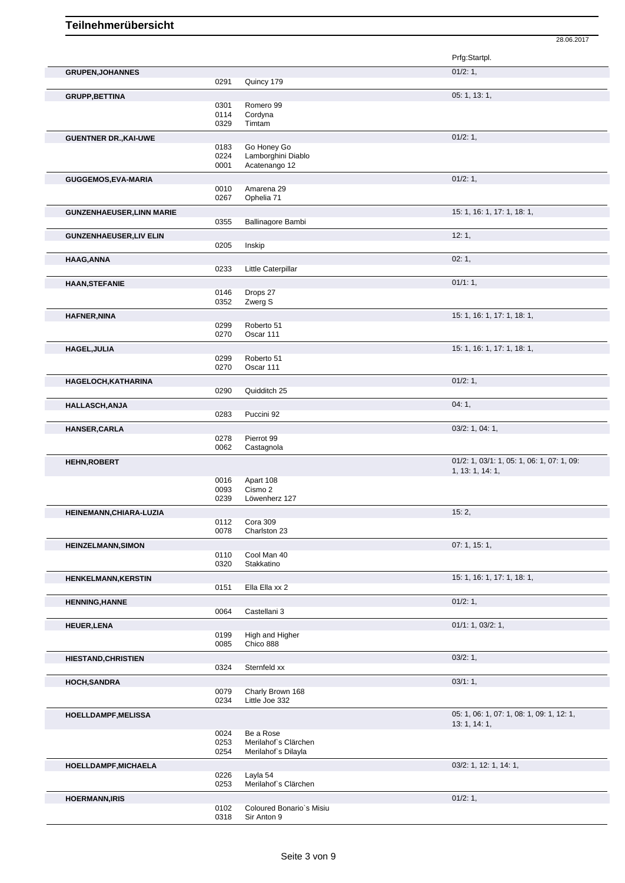|                                  |              |                                     | 28.06.2017                                 |
|----------------------------------|--------------|-------------------------------------|--------------------------------------------|
|                                  |              |                                     | Prfg:Startpl.                              |
| <b>GRUPEN, JOHANNES</b>          |              |                                     | 01/2: 1,                                   |
|                                  | 0291         | Quincy 179                          |                                            |
| <b>GRUPP, BETTINA</b>            |              |                                     | 05: 1, 13: 1,                              |
|                                  | 0301         | Romero 99                           |                                            |
|                                  | 0114         | Cordyna                             |                                            |
|                                  | 0329         | Timtam                              |                                            |
| <b>GUENTNER DR., KAI-UWE</b>     |              |                                     | 01/2:1,                                    |
|                                  | 0183         | Go Honey Go                         |                                            |
|                                  | 0224<br>0001 | Lamborghini Diablo<br>Acatenango 12 |                                            |
|                                  |              |                                     |                                            |
| GUGGEMOS, EVA-MARIA              |              |                                     | 01/2: 1,                                   |
|                                  | 0010<br>0267 | Amarena 29<br>Ophelia 71            |                                            |
|                                  |              |                                     |                                            |
| <b>GUNZENHAEUSER, LINN MARIE</b> |              |                                     | 15: 1, 16: 1, 17: 1, 18: 1,                |
|                                  | 0355         | Ballinagore Bambi                   |                                            |
| <b>GUNZENHAEUSER, LIV ELIN</b>   |              |                                     | 12:1,                                      |
|                                  | 0205         | Inskip                              |                                            |
| HAAG, ANNA                       |              |                                     | 02:1,                                      |
|                                  | 0233         | Little Caterpillar                  |                                            |
| <b>HAAN, STEFANIE</b>            |              |                                     | 01/1:1,                                    |
|                                  | 0146         | Drops 27                            |                                            |
|                                  | 0352         | Zwerg S                             |                                            |
| <b>HAFNER, NINA</b>              |              |                                     | 15: 1, 16: 1, 17: 1, 18: 1,                |
|                                  | 0299         | Roberto 51                          |                                            |
|                                  | 0270         | Oscar 111                           |                                            |
| <b>HAGEL, JULIA</b>              |              |                                     | 15: 1, 16: 1, 17: 1, 18: 1,                |
|                                  | 0299         | Roberto 51                          |                                            |
|                                  | 0270         | Oscar 111                           |                                            |
| HAGELOCH, KATHARINA              |              |                                     | 01/2: 1,                                   |
|                                  | 0290         | Quidditch 25                        |                                            |
| <b>HALLASCH, ANJA</b>            |              |                                     | 04:1,                                      |
|                                  | 0283         | Puccini 92                          |                                            |
| HANSER, CARLA                    |              |                                     | $03/2$ : 1, 04: 1,                         |
|                                  | 0278         | Pierrot 99                          |                                            |
|                                  | 0062         | Castagnola                          |                                            |
| <b>HEHN, ROBERT</b>              |              |                                     | 01/2: 1, 03/1: 1, 05: 1, 06: 1, 07: 1, 09: |
|                                  |              |                                     | 1, 13: 1, 14: 1,                           |
|                                  | 0016<br>0093 | Apart 108<br>Cismo 2                |                                            |
|                                  | 0239         | Löwenherz 127                       |                                            |
|                                  |              |                                     |                                            |
| HEINEMANN, CHIARA-LUZIA          | 0112         | Cora 309                            | 15:2,                                      |
|                                  | 0078         | Charlston 23                        |                                            |
|                                  |              |                                     | 07: 1, 15: 1,                              |
| <b>HEINZELMANN, SIMON</b>        | 0110         | Cool Man 40                         |                                            |
|                                  | 0320         | Stakkatino                          |                                            |
|                                  |              |                                     | 15: 1, 16: 1, 17: 1, 18: 1,                |
| <b>HENKELMANN, KERSTIN</b>       | 0151         | Ella Ella xx 2                      |                                            |
|                                  |              |                                     |                                            |
| <b>HENNING, HANNE</b>            | 0064         | Castellani 3                        | 01/2: 1,                                   |
|                                  |              |                                     |                                            |
| <b>HEUER, LENA</b>               |              |                                     | 01/1: 1, 03/2: 1,                          |
|                                  | 0199<br>0085 | High and Higher<br>Chico 888        |                                            |
|                                  |              |                                     |                                            |
| <b>HIESTAND, CHRISTIEN</b>       | 0324         | Sternfeld xx                        | 03/2:1,                                    |
|                                  |              |                                     |                                            |

|                            | U324                 | Sternfeld XX                                             |                                                          |
|----------------------------|----------------------|----------------------------------------------------------|----------------------------------------------------------|
| <b>HOCH, SANDRA</b>        |                      |                                                          | $03/1:1$ ,                                               |
|                            | 0079<br>0234         | Charly Brown 168<br>Little Joe 332                       |                                                          |
| <b>HOELLDAMPF, MELISSA</b> |                      |                                                          | 05: 1, 06: 1, 07: 1, 08: 1, 09: 1, 12: 1,<br>13:1, 14:1, |
|                            | 0024<br>0253<br>0254 | Be a Rose<br>Merilahof`s Clärchen<br>Merilahof's Dilayla |                                                          |
| HOELLDAMPF, MICHAELA       |                      |                                                          | 03/2: 1, 12: 1, 14: 1,                                   |
|                            | 0226<br>0253         | Layla 54<br>Merilahof's Clärchen                         |                                                          |
| <b>HOERMANN, IRIS</b>      |                      |                                                          | $01/2:1$ ,                                               |
|                            | 0102<br>0318         | Coloured Bonario's Misiu<br>Sir Anton 9                  |                                                          |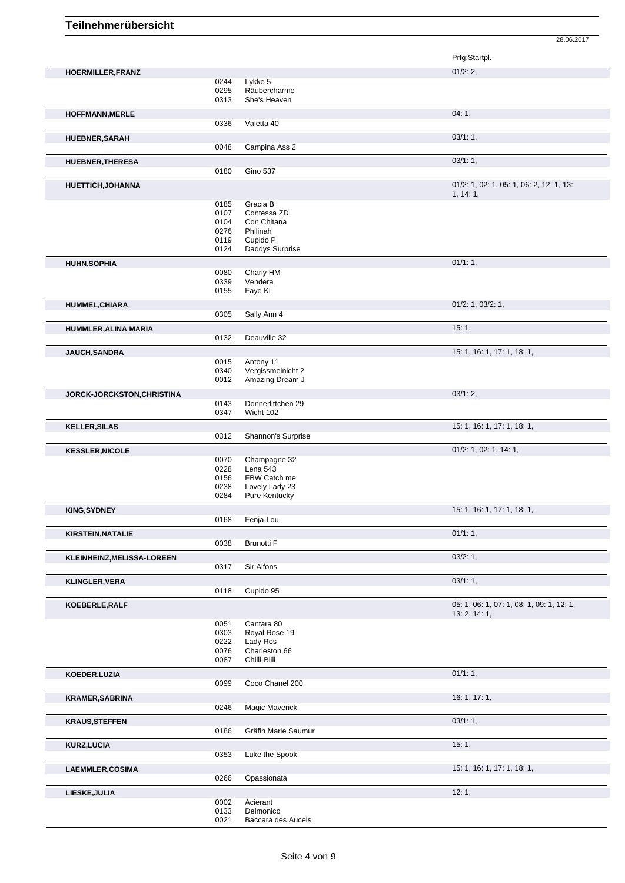|                             |              |                           | Prfg:Startpl.                             |
|-----------------------------|--------------|---------------------------|-------------------------------------------|
| HOERMILLER, FRANZ           |              |                           | 01/2:2,                                   |
|                             | 0244         | Lykke 5                   |                                           |
|                             | 0295         | Räubercharme              |                                           |
|                             | 0313         | She's Heaven              |                                           |
| <b>HOFFMANN, MERLE</b>      |              |                           | 04:1,                                     |
|                             | 0336         | Valetta 40                |                                           |
| <b>HUEBNER, SARAH</b>       |              |                           | 03/1:1,                                   |
|                             | 0048         | Campina Ass 2             |                                           |
| <b>HUEBNER, THERESA</b>     |              |                           | 03/1:1,                                   |
|                             | 0180         | <b>Gino 537</b>           |                                           |
| HUETTICH, JOHANNA           |              |                           | 01/2: 1, 02: 1, 05: 1, 06: 2, 12: 1, 13:  |
|                             |              |                           | 1, 14:1,                                  |
|                             | 0185<br>0107 | Gracia B<br>Contessa ZD   |                                           |
|                             | 0104         | Con Chitana               |                                           |
|                             | 0276         | Philinah                  |                                           |
|                             | 0119         | Cupido P.                 |                                           |
|                             | 0124         | Daddys Surprise           |                                           |
| <b>HUHN, SOPHIA</b>         |              |                           | 01/1:1,                                   |
|                             | 0080         | Charly HM                 |                                           |
|                             | 0339         | Vendera                   |                                           |
|                             | 0155         | Faye KL                   |                                           |
| HUMMEL, CHIARA              |              |                           | $01/2$ : 1, $03/2$ : 1,                   |
|                             | 0305         | Sally Ann 4               |                                           |
| <b>HUMMLER, ALINA MARIA</b> |              |                           | 15:1,                                     |
|                             | 0132         | Deauville 32              |                                           |
| JAUCH, SANDRA               |              |                           | 15: 1, 16: 1, 17: 1, 18: 1,               |
|                             | 0015         | Antony 11                 |                                           |
|                             | 0340         | Vergissmeinicht 2         |                                           |
|                             | 0012         | Amazing Dream J           |                                           |
| JORCK-JORCKSTON, CHRISTINA  |              |                           | 03/1:2,                                   |
|                             | 0143         | Donnerlittchen 29         |                                           |
|                             | 0347         | Wicht 102                 |                                           |
| <b>KELLER, SILAS</b>        |              |                           | 15: 1, 16: 1, 17: 1, 18: 1,               |
|                             | 0312         | Shannon's Surprise        |                                           |
| <b>KESSLER, NICOLE</b>      |              |                           | 01/2: 1, 02: 1, 14: 1,                    |
|                             | 0070         | Champagne 32              |                                           |
|                             | 0228         | Lena 543                  |                                           |
|                             | 0156         | FBW Catch me              |                                           |
|                             | 0238         | Lovely Lady 23            |                                           |
|                             | 0284         | Pure Kentucky             |                                           |
| <b>KING, SYDNEY</b>         |              |                           | 15: 1, 16: 1, 17: 1, 18: 1,               |
|                             | 0168         | Fenja-Lou                 |                                           |
| <b>KIRSTEIN, NATALIE</b>    |              |                           | 01/1:1,                                   |
|                             | 0038         | Brunotti F                |                                           |
| KLEINHEINZ, MELISSA-LOREEN  |              |                           | 03/2:1,                                   |
|                             | 0317         | Sir Alfons                |                                           |
| <b>KLINGLER, VERA</b>       |              |                           | 03/1:1,                                   |
|                             | 0118         | Cupido 95                 |                                           |
| KOEBERLE, RALF              |              |                           | 05: 1, 06: 1, 07: 1, 08: 1, 09: 1, 12: 1, |
|                             |              |                           | 13: 2, 14: 1,                             |
|                             | 0051         | Cantara 80                |                                           |
|                             | 0303         | Royal Rose 19             |                                           |
|                             | 0222<br>0076 | Lady Ros<br>Charleston 66 |                                           |
|                             | 0087         | Chilli-Billi              |                                           |
|                             |              |                           | 01/1:1,                                   |
| KOEDER, LUZIA               | 0099         | Coco Chanel 200           |                                           |
|                             |              |                           |                                           |
| <b>KRAMER, SABRINA</b>      | 0246         | Magic Maverick            | 16: 1, 17: 1,                             |
|                             |              |                           |                                           |
| <b>KRAUS, STEFFEN</b>       |              |                           | 03/1:1,                                   |
|                             | 0186         | Gräfin Marie Saumur       |                                           |
| <b>KURZ,LUCIA</b>           |              |                           | 15:1,                                     |
|                             | 0353         | Luke the Spook            |                                           |
| <b>LAEMMLER,COSIMA</b>      |              |                           | 15: 1, 16: 1, 17: 1, 18: 1,               |
|                             | 0266         | Opassionata               |                                           |
| LIESKE, JULIA               |              |                           | 12:1,                                     |
|                             | 0002         | Acierant                  |                                           |
|                             | 0133         | Delmonico                 |                                           |
|                             | 0021         | Baccara des Aucels        |                                           |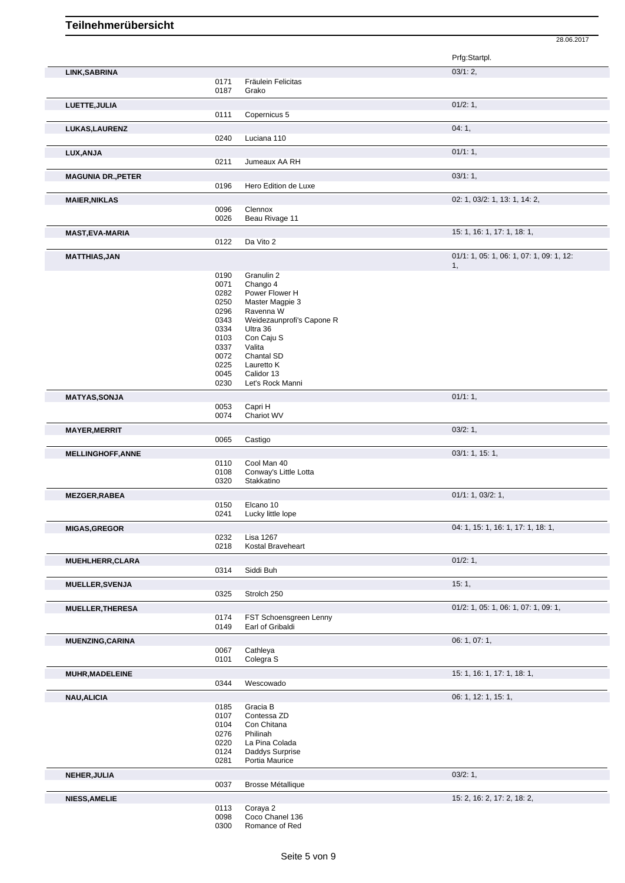|                           |              |                                   | Prfg:Startpl.                            |
|---------------------------|--------------|-----------------------------------|------------------------------------------|
| LINK, SABRINA             |              |                                   | 03/1:2                                   |
|                           | 0171         | Fräulein Felicitas                |                                          |
|                           | 0187         | Grako                             |                                          |
| LUETTE, JULIA             |              |                                   | 01/2: 1,                                 |
|                           | 0111         | Copernicus 5                      |                                          |
|                           |              |                                   |                                          |
| LUKAS, LAURENZ            |              |                                   | 04:1,                                    |
|                           | 0240         | Luciana 110                       |                                          |
| LUX, ANJA                 |              |                                   | 01/1:1,                                  |
|                           | 0211         | Jumeaux AA RH                     |                                          |
| <b>MAGUNIA DR., PETER</b> |              |                                   | 03/1:1,                                  |
|                           | 0196         | Hero Edition de Luxe              |                                          |
|                           |              |                                   | 02: 1, 03/2: 1, 13: 1, 14: 2,            |
| <b>MAIER, NIKLAS</b>      | 0096         | Clennox                           |                                          |
|                           | 0026         | Beau Rivage 11                    |                                          |
|                           |              |                                   |                                          |
| <b>MAST, EVA-MARIA</b>    |              |                                   | 15: 1, 16: 1, 17: 1, 18: 1,              |
|                           | 0122         | Da Vito 2                         |                                          |
| <b>MATTHIAS, JAN</b>      |              |                                   | 01/1: 1, 05: 1, 06: 1, 07: 1, 09: 1, 12: |
|                           |              |                                   | 1,                                       |
|                           | 0190         | Granulin 2                        |                                          |
|                           | 0071         | Chango 4                          |                                          |
|                           | 0282         | Power Flower H<br>Master Magpie 3 |                                          |
|                           | 0250<br>0296 | Ravenna W                         |                                          |
|                           | 0343         | Weidezaunprofi's Capone R         |                                          |
|                           | 0334         | Ultra 36                          |                                          |
|                           | 0103         | Con Caju S                        |                                          |
|                           | 0337         | Valita                            |                                          |
|                           | 0072         | Chantal SD                        |                                          |
|                           | 0225         | Lauretto K                        |                                          |
|                           | 0045<br>0230 | Calidor 13<br>Let's Rock Manni    |                                          |
|                           |              |                                   |                                          |
| <b>MATYAS, SONJA</b>      |              |                                   | 01/1:1,                                  |
|                           | 0053         | Capri H                           |                                          |
|                           | 0074         | <b>Chariot WV</b>                 |                                          |
| <b>MAYER, MERRIT</b>      |              |                                   | 03/2:1,                                  |
|                           | 0065         | Castigo                           |                                          |
| <b>MELLINGHOFF, ANNE</b>  |              |                                   | 03/1: 1, 15: 1,                          |
|                           | 0110         | Cool Man 40                       |                                          |
|                           | 0108         | Conway's Little Lotta             |                                          |
|                           | 0320         | Stakkatino                        |                                          |
| <b>MEZGER, RABEA</b>      |              |                                   | 01/1: 1, 03/2: 1,                        |
|                           | 0150         | Elcano 10                         |                                          |
|                           | 0241         | Lucky little lope                 |                                          |
| <b>MIGAS, GREGOR</b>      |              |                                   | 04: 1, 15: 1, 16: 1, 17: 1, 18: 1,       |
|                           | 0232         | <b>Lisa 1267</b>                  |                                          |
|                           | 0218         | Kostal Braveheart                 |                                          |
|                           |              |                                   |                                          |
| MUEHLHERR, CLARA          | 0314         | Siddi Buh                         | 01/2:1,                                  |
|                           |              |                                   |                                          |
| <b>MUELLER, SVENJA</b>    |              |                                   | 15:1,                                    |
|                           | 0325         | Strolch 250                       |                                          |
| <b>MUELLER, THERESA</b>   |              |                                   | 01/2: 1, 05: 1, 06: 1, 07: 1, 09: 1,     |
|                           | 0174         | FST Schoensgreen Lenny            |                                          |
|                           | 0149         | Earl of Gribaldi                  |                                          |
| <b>MUENZING, CARINA</b>   |              |                                   | 06: 1, 07: 1,                            |
|                           | 0067         | Cathleya                          |                                          |
|                           | 0101         | Colegra S                         |                                          |
| MUHR, MADELEINE           |              |                                   | 15: 1, 16: 1, 17: 1, 18: 1,              |
|                           | 0344         | Wescowado                         |                                          |
|                           |              |                                   |                                          |
| <b>NAU, ALICIA</b>        |              |                                   | 06: 1, 12: 1, 15: 1,                     |
|                           | 0185         | Gracia B                          |                                          |
|                           | 0107         | Contessa ZD                       |                                          |
|                           | 0104<br>0276 | Con Chitana<br>Philinah           |                                          |
|                           | 0220         | La Pina Colada                    |                                          |
|                           | 0124         | Daddys Surprise                   |                                          |
|                           | 0281         | Portia Maurice                    |                                          |
| NEHER, JULIA              |              |                                   | 03/2:1,                                  |
|                           | 0037         | <b>Brosse Métallique</b>          |                                          |
|                           |              |                                   |                                          |

28.06.2017

**NIESS,AMELIE** 15: 2, 16: 2, 17: 2, 18: 2,<br>
0098 Coco Chanel 136<br>
0300 Romance of Red Coraya 2 Coco Chanel 136

Romance of Red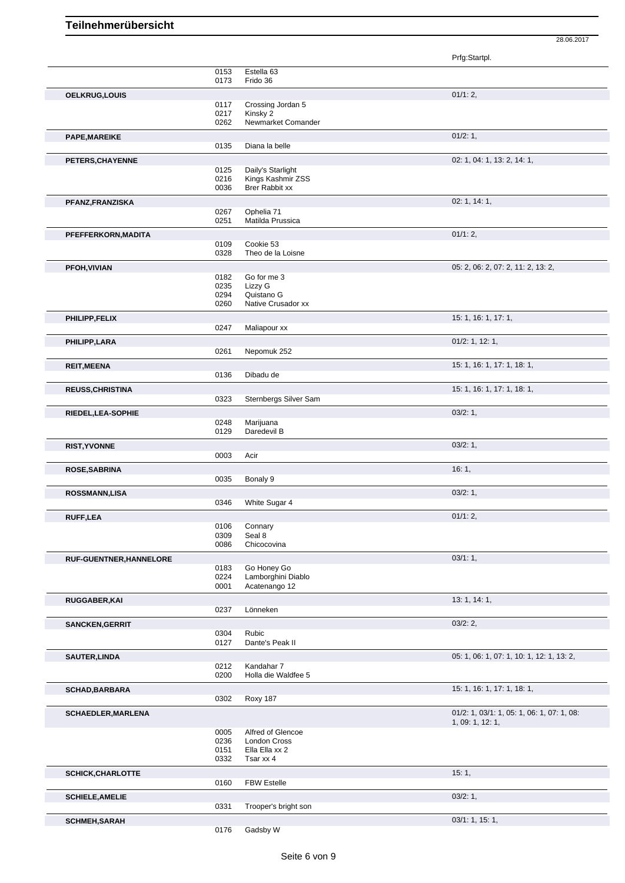|                           |              |                                   | Prfg:Startpl.                              |
|---------------------------|--------------|-----------------------------------|--------------------------------------------|
|                           | 0153         | Estella 63                        |                                            |
|                           | 0173         | Frido 36                          |                                            |
| OELKRUG, LOUIS            |              |                                   | 01/1:2,                                    |
|                           | 0117         | Crossing Jordan 5                 |                                            |
|                           | 0217         | Kinsky 2                          |                                            |
|                           | 0262         | Newmarket Comander                |                                            |
| PAPE, MAREIKE             |              |                                   | 01/2:1,                                    |
|                           | 0135         | Diana la belle                    |                                            |
| PETERS, CHAYENNE          |              |                                   | 02: 1, 04: 1, 13: 2, 14: 1,                |
|                           | 0125         | Daily's Starlight                 |                                            |
|                           | 0216         | Kings Kashmir ZSS                 |                                            |
|                           | 0036         | Brer Rabbit xx                    |                                            |
| PFANZ, FRANZISKA          |              |                                   | 02: 1, 14: 1,                              |
|                           | 0267         | Ophelia 71                        |                                            |
|                           | 0251         | Matilda Prussica                  |                                            |
| PFEFFERKORN, MADITA       |              |                                   | 01/1:2,                                    |
|                           | 0109         | Cookie 53                         |                                            |
|                           | 0328         | Theo de la Loisne                 |                                            |
| PFOH, VIVIAN              |              |                                   | 05: 2, 06: 2, 07: 2, 11: 2, 13: 2,         |
|                           | 0182         | Go for me 3                       |                                            |
|                           | 0235<br>0294 | Lizzy G<br>Quistano G             |                                            |
|                           | 0260         | Native Crusador xx                |                                            |
|                           |              |                                   |                                            |
| PHILIPP,FELIX             | 0247         | Maliapour xx                      | 15: 1, 16: 1, 17: 1,                       |
|                           |              |                                   |                                            |
| PHILIPP, LARA             |              |                                   | 01/2: 1, 12: 1,                            |
|                           | 0261         | Nepomuk 252                       |                                            |
| <b>REIT, MEENA</b>        |              |                                   | 15: 1, 16: 1, 17: 1, 18: 1,                |
|                           | 0136         | Dibadu de                         |                                            |
| <b>REUSS, CHRISTINA</b>   |              |                                   | 15: 1, 16: 1, 17: 1, 18: 1,                |
|                           | 0323         | Sternbergs Silver Sam             |                                            |
| RIEDEL, LEA-SOPHIE        |              |                                   | 03/2:1,                                    |
|                           | 0248         | Marijuana                         |                                            |
|                           | 0129         | Daredevil B                       |                                            |
| <b>RIST, YVONNE</b>       |              |                                   | 03/2:1,                                    |
|                           | 0003         | Acir                              |                                            |
|                           |              |                                   |                                            |
| <b>ROSE, SABRINA</b>      | 0035         | Bonaly 9                          | 16:1,                                      |
|                           |              |                                   |                                            |
| <b>ROSSMANN,LISA</b>      |              |                                   | $03/2:1$ ,                                 |
|                           | 0346         | White Sugar 4                     |                                            |
| <b>RUFF,LEA</b>           |              |                                   | 01/1:2,                                    |
|                           | 0106         | Connary                           |                                            |
|                           | 0309<br>0086 | Seal 8<br>Chicocovina             |                                            |
|                           |              |                                   |                                            |
| RUF-GUENTNER, HANNELORE   |              | Go Honey Go                       | 03/1:1,                                    |
|                           | 0183<br>0224 | Lamborghini Diablo                |                                            |
|                           | 0001         | Acatenango 12                     |                                            |
|                           |              |                                   | 13: 1, 14: 1,                              |
| RUGGABER, KAI             | 0237         | Lönneken                          |                                            |
|                           |              |                                   |                                            |
| <b>SANCKEN, GERRIT</b>    |              |                                   | 03/2:2,                                    |
|                           | 0304<br>0127 | Rubic<br>Dante's Peak II          |                                            |
|                           |              |                                   |                                            |
| <b>SAUTER, LINDA</b>      |              |                                   | 05: 1, 06: 1, 07: 1, 10: 1, 12: 1, 13: 2,  |
|                           | 0212<br>0200 | Kandahar 7<br>Holla die Waldfee 5 |                                            |
|                           |              |                                   |                                            |
| <b>SCHAD, BARBARA</b>     |              |                                   | 15: 1, 16: 1, 17: 1, 18: 1,                |
|                           | 0302         | Roxy 187                          |                                            |
| <b>SCHAEDLER, MARLENA</b> |              |                                   | 01/2: 1, 03/1: 1, 05: 1, 06: 1, 07: 1, 08: |
|                           |              |                                   | 1, 09: 1, 12: 1,                           |
|                           | 0005         | Alfred of Glencoe                 |                                            |
|                           | 0236<br>0151 | London Cross<br>Ella Ella xx 2    |                                            |
|                           | 0332         | Tsar xx 4                         |                                            |
|                           |              |                                   |                                            |
| <b>SCHICK, CHARLOTTE</b>  |              |                                   |                                            |
|                           |              |                                   | 15:1,                                      |
|                           | 0160         | <b>FBW Estelle</b>                |                                            |
| <b>SCHIELE, AMELIE</b>    |              |                                   | 03/2:1,                                    |
|                           | 0331         | Trooper's bright son              |                                            |
| <b>SCHMEH, SARAH</b>      |              | Gadsby W                          | 03/1: 1, 15: 1,                            |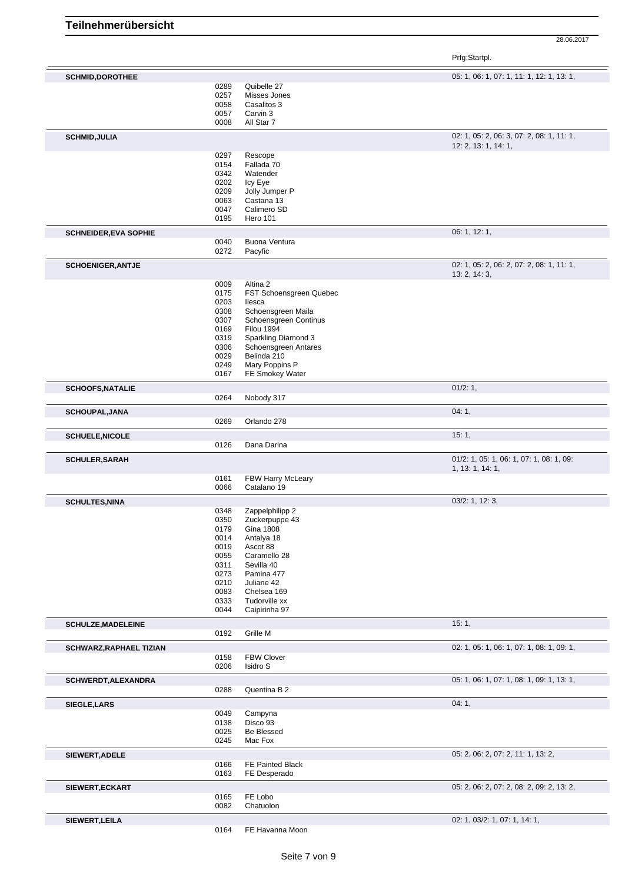|                                |              |                                  | Prfg:Startpl.                                                |
|--------------------------------|--------------|----------------------------------|--------------------------------------------------------------|
| <b>SCHMID, DOROTHEE</b>        |              |                                  | 05: 1, 06: 1, 07: 1, 11: 1, 12: 1, 13: 1,                    |
|                                | 0289         | Quibelle 27                      |                                                              |
|                                | 0257         | Misses Jones                     |                                                              |
|                                | 0058         | Casalitos 3                      |                                                              |
|                                | 0057         | Carvin 3                         |                                                              |
|                                | 0008         | All Star 7                       |                                                              |
| <b>SCHMID, JULIA</b>           |              |                                  | 02: 1, 05: 2, 06: 3, 07: 2, 08: 1, 11: 1,                    |
|                                | 0297         | Rescope                          | 12: 2, 13: 1, 14: 1,                                         |
|                                | 0154         | Fallada 70                       |                                                              |
|                                | 0342         | Watender                         |                                                              |
|                                | 0202         | Icy Eye                          |                                                              |
|                                | 0209         | Jolly Jumper P                   |                                                              |
|                                | 0063         | Castana 13                       |                                                              |
|                                | 0047         | Calimero SD                      |                                                              |
|                                | 0195         | Hero 101                         |                                                              |
| <b>SCHNEIDER, EVA SOPHIE</b>   |              |                                  | 06: 1, 12: 1,                                                |
|                                | 0040         | Buona Ventura                    |                                                              |
|                                | 0272         | Pacyfic                          |                                                              |
| <b>SCHOENIGER, ANTJE</b>       |              |                                  | 02: 1, 05: 2, 06: 2, 07: 2, 08: 1, 11: 1,<br>13: 2, 14: 3,   |
|                                | 0009         | Altina 2                         |                                                              |
|                                | 0175         | FST Schoensgreen Quebec          |                                                              |
|                                | 0203         | llesca                           |                                                              |
|                                | 0308         | Schoensgreen Maila               |                                                              |
|                                | 0307         | Schoensgreen Continus            |                                                              |
|                                | 0169         | <b>Filou 1994</b>                |                                                              |
|                                | 0319         | Sparkling Diamond 3              |                                                              |
|                                | 0306         | Schoensgreen Antares             |                                                              |
|                                | 0029         | Belinda 210                      |                                                              |
|                                | 0249         | Mary Poppins P                   |                                                              |
|                                | 0167         | FE Smokey Water                  |                                                              |
| <b>SCHOOFS, NATALIE</b>        |              |                                  | 01/2: 1,                                                     |
|                                | 0264         | Nobody 317                       |                                                              |
| <b>SCHOUPAL, JANA</b>          |              |                                  | 04:1,                                                        |
|                                | 0269         | Orlando 278                      |                                                              |
| <b>SCHUELE, NICOLE</b>         |              |                                  | 15:1,                                                        |
|                                | 0126         | Dana Darina                      |                                                              |
| <b>SCHULER, SARAH</b>          |              |                                  | 01/2: 1, 05: 1, 06: 1, 07: 1, 08: 1, 09:<br>1, 13: 1, 14: 1, |
|                                | 0161         | <b>FBW Harry McLeary</b>         |                                                              |
|                                | 0066         | Catalano 19                      |                                                              |
| <b>SCHULTES, NINA</b>          |              |                                  | 03/2: 1, 12: 3,                                              |
|                                | 0348         | Zappelphilipp 2                  |                                                              |
|                                | 0350         | Zuckerpuppe 43                   |                                                              |
|                                | 0179         | <b>Gina 1808</b>                 |                                                              |
|                                | 0014         | Antalya 18                       |                                                              |
|                                | 0019         | Ascot 88                         |                                                              |
|                                | 0055         | Caramello 28                     |                                                              |
|                                | 0311         | Sevilla 40                       |                                                              |
|                                | 0273         | Pamina 477                       |                                                              |
|                                | 0210         | Juliane 42                       |                                                              |
|                                | 0083         | Chelsea 169                      |                                                              |
|                                | 0333         | Tudorville xx                    |                                                              |
|                                | 0044         | Caipirinha 97                    |                                                              |
| <b>SCHULZE, MADELEINE</b>      |              |                                  | 15:1,                                                        |
|                                | 0192         | Grille M                         |                                                              |
| <b>SCHWARZ, RAPHAEL TIZIAN</b> | 0158         | <b>FBW Clover</b>                | 02: 1, 05: 1, 06: 1, 07: 1, 08: 1, 09: 1,                    |
|                                | 0206         | Isidro S                         |                                                              |
| SCHWERDT, ALEXANDRA            |              |                                  | 05: 1, 06: 1, 07: 1, 08: 1, 09: 1, 13: 1,                    |
|                                | 0288         | Quentina B 2                     |                                                              |
| SIEGLE, LARS                   |              |                                  | 04:1,                                                        |
|                                | 0049         | Campyna                          |                                                              |
|                                | 0138         | Disco 93                         |                                                              |
|                                | 0025         | Be Blessed                       |                                                              |
|                                | 0245         | Mac Fox                          |                                                              |
| SIEWERT, ADELE                 |              |                                  | 05: 2, 06: 2, 07: 2, 11: 1, 13: 2,                           |
|                                | 0166<br>0163 | FE Painted Black<br>FE Desperado |                                                              |
| SIEWERT, ECKART                |              |                                  | 05: 2, 06: 2, 07: 2, 08: 2, 09: 2, 13: 2,                    |
|                                | 0165         | FE Lobo                          |                                                              |
|                                | 0082         | Chatuolon                        |                                                              |
| SIEWERT, LEILA                 |              |                                  | 02: 1, 03/2: 1, 07: 1, 14: 1,                                |

28.06.2017

Seite 7 von 9

FE Havanna Moon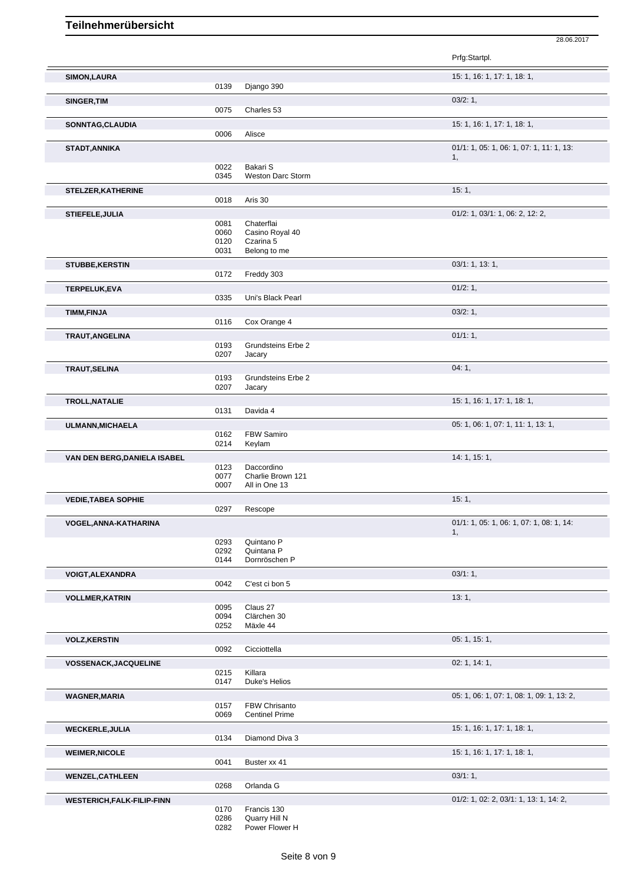|                                   |              |                              | Prfg:Startpl.                             |
|-----------------------------------|--------------|------------------------------|-------------------------------------------|
| SIMON, LAURA                      | 0139         | Django 390                   | 15: 1, 16: 1, 17: 1, 18: 1,               |
| SINGER, TIM                       |              |                              | 03/2:1,                                   |
|                                   | 0075         | Charles 53                   |                                           |
| SONNTAG, CLAUDIA                  | 0006         | Alisce                       | 15: 1, 16: 1, 17: 1, 18: 1,               |
| <b>STADT, ANNIKA</b>              |              |                              | 01/1: 1, 05: 1, 06: 1, 07: 1, 11: 1, 13:  |
|                                   | 0022         | Bakari S                     | 1,                                        |
|                                   | 0345         | Weston Darc Storm            |                                           |
| STELZER, KATHERINE                | 0018         | Aris 30                      | 15:1,                                     |
| STIEFELE, JULIA                   |              |                              | 01/2: 1, 03/1: 1, 06: 2, 12: 2,           |
|                                   | 0081         | Chaterflai                   |                                           |
|                                   | 0060         | Casino Royal 40              |                                           |
|                                   | 0120<br>0031 | Czarina 5<br>Belong to me    |                                           |
|                                   |              |                              |                                           |
| STUBBE, KERSTIN                   | 0172         | Freddy 303                   | 03/1: 1, 13: 1,                           |
|                                   |              |                              | 01/2:1,                                   |
| <b>TERPELUK,EVA</b>               | 0335         | Uni's Black Pearl            |                                           |
|                                   |              |                              | 03/2:1,                                   |
| <b>TIMM,FINJA</b>                 | 0116         | Cox Orange 4                 |                                           |
| TRAUT, ANGELINA                   |              |                              | 01/1:1,                                   |
|                                   | 0193         | <b>Grundsteins Erbe 2</b>    |                                           |
|                                   | 0207         | Jacary                       |                                           |
| TRAUT, SELINA                     |              |                              | 04:1,                                     |
|                                   | 0193         | <b>Grundsteins Erbe 2</b>    |                                           |
|                                   | 0207         | Jacary                       |                                           |
| TROLL, NATALIE                    |              |                              | 15: 1, 16: 1, 17: 1, 18: 1,               |
|                                   | 0131         | Davida 4                     |                                           |
| <b>ULMANN, MICHAELA</b>           |              |                              | 05: 1, 06: 1, 07: 1, 11: 1, 13: 1,        |
|                                   | 0162<br>0214 | FBW Samiro<br>Keylam         |                                           |
|                                   |              |                              |                                           |
| VAN DEN BERG, DANIELA ISABEL      | 0123         | Daccordino                   | 14: 1, 15: 1,                             |
|                                   | 0077         | Charlie Brown 121            |                                           |
|                                   | 0007         | All in One 13                |                                           |
| <b>VEDIE, TABEA SOPHIE</b>        |              |                              | 15:1,                                     |
|                                   | 0297         | Rescope                      |                                           |
| VOGEL, ANNA-KATHARINA             |              |                              | 01/1: 1, 05: 1, 06: 1, 07: 1, 08: 1, 14:  |
|                                   |              |                              | 1,                                        |
|                                   | 0293<br>0292 | Quintano P<br>Quintana P     |                                           |
|                                   | 0144         | Dornröschen P                |                                           |
| <b>VOIGT, ALEXANDRA</b>           |              |                              | 03/1:1,                                   |
|                                   | 0042         | C'est ci bon 5               |                                           |
| <b>VOLLMER, KATRIN</b>            |              |                              | 13:1,                                     |
|                                   | 0095         | Claus 27                     |                                           |
|                                   | 0094         | Clärchen 30                  |                                           |
|                                   | 0252         | Mäxle 44                     |                                           |
| <b>VOLZ, KERSTIN</b>              |              | Cicciottella                 | 05: 1, 15: 1,                             |
|                                   | 0092         |                              |                                           |
| <b>VOSSENACK, JACQUELINE</b>      | 0215         | Killara                      | 02: 1, 14: 1,                             |
|                                   | 0147         | Duke's Helios                |                                           |
| <b>WAGNER, MARIA</b>              |              |                              | 05: 1, 06: 1, 07: 1, 08: 1, 09: 1, 13: 2, |
|                                   | 0157         | FBW Chrisanto                |                                           |
|                                   | 0069         | <b>Centinel Prime</b>        |                                           |
| <b>WECKERLE, JULIA</b>            |              |                              | 15: 1, 16: 1, 17: 1, 18: 1,               |
|                                   | 0134         | Diamond Diva 3               |                                           |
| <b>WEIMER, NICOLE</b>             |              |                              | 15: 1, 16: 1, 17: 1, 18: 1,               |
|                                   | 0041         | Buster xx 41                 |                                           |
| <b>WENZEL, CATHLEEN</b>           |              |                              | 03/1:1,                                   |
|                                   | 0268         | Orlanda G                    |                                           |
| <b>WESTERICH, FALK-FILIP-FINN</b> |              |                              | 01/2: 1, 02: 2, 03/1: 1, 13: 1, 14: 2,    |
|                                   | 0170<br>0286 | Francis 130<br>Quarry Hill N |                                           |
|                                   | 0282         | Power Flower H               |                                           |